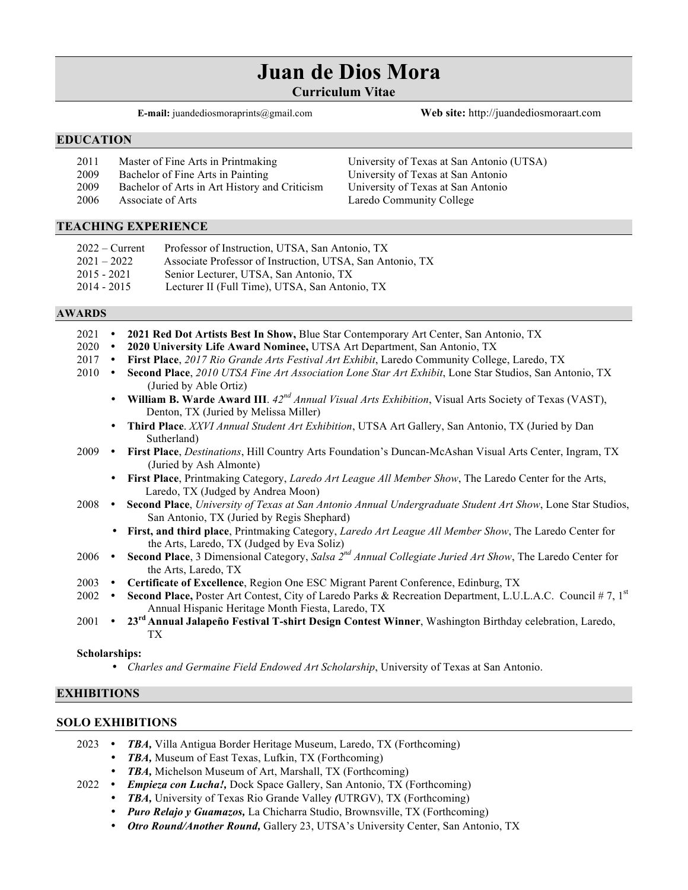# **Juan de Dios Mora**

**Curriculum Vitae**

**E-mail:** juandediosmoraprints@gmail.com **Web site:** http://juandediosmoraart.com

## **EDUCATION**

| 2011 | Master of Fine Arts in Printmaking            | University of Texas at San Antonio (UTSA) |
|------|-----------------------------------------------|-------------------------------------------|
| 2009 | Bachelor of Fine Arts in Painting             | University of Texas at San Antonio        |
| 2009 | Bachelor of Arts in Art History and Criticism | University of Texas at San Antonio        |
| 2006 | Associate of Arts                             | Laredo Community College                  |

## **TEACHING EXPERIENCE**

| $2022 -$ Current | Professor of Instruction, UTSA, San Antonio, TX           |
|------------------|-----------------------------------------------------------|
| $2021 - 2022$    | Associate Professor of Instruction, UTSA, San Antonio, TX |
| $2015 - 2021$    | Senior Lecturer, UTSA, San Antonio, TX                    |
| $2014 - 2015$    | Lecturer II (Full Time), UTSA, San Antonio, TX            |

## **AWARDS**

| 2021 | $\bullet$                                                                                                               | 2021 Red Dot Artists Best In Show, Blue Star Contemporary Art Center, San Antonio, TX                                                                           |
|------|-------------------------------------------------------------------------------------------------------------------------|-----------------------------------------------------------------------------------------------------------------------------------------------------------------|
| 2020 | $\bullet$                                                                                                               | 2020 University Life Award Nominee, UTSA Art Department, San Antonio, TX                                                                                        |
| 2017 | $\bullet$                                                                                                               | First Place, 2017 Rio Grande Arts Festival Art Exhibit, Laredo Community College, Laredo, TX                                                                    |
| 2010 | $\bullet$                                                                                                               | Second Place, 2010 UTSA Fine Art Association Lone Star Art Exhibit, Lone Star Studios, San Antonio, TX<br>(Juried by Able Ortiz)                                |
|      |                                                                                                                         | • William B. Warde Award III. $42^{nd}$ Annual Visual Arts Exhibition, Visual Arts Society of Texas (VAST),<br>Denton, TX (Juried by Melissa Miller)            |
|      | $\bullet$                                                                                                               | Third Place. XXVI Annual Student Art Exhibition, UTSA Art Gallery, San Antonio, TX (Juried by Dan<br>Sutherland)                                                |
|      |                                                                                                                         | 2009 • First Place, Destinations, Hill Country Arts Foundation's Duncan-McAshan Visual Arts Center, Ingram, TX<br>(Juried by Ash Almonte)                       |
|      | $\bullet$                                                                                                               | First Place, Printmaking Category, Laredo Art League All Member Show, The Laredo Center for the Arts,<br>Laredo, TX (Judged by Andrea Moon)                     |
|      |                                                                                                                         | 2008 • Second Place, University of Texas at San Antonio Annual Undergraduate Student Art Show, Lone Star Studios,<br>San Antonio, TX (Juried by Regis Shephard) |
|      |                                                                                                                         | • First, and third place, Printmaking Category, Laredo Art League All Member Show, The Laredo Center for<br>the Arts, Laredo, TX (Judged by Eva Soliz)          |
|      |                                                                                                                         | 2006 • Second Place, 3 Dimensional Category, Salsa 2 <sup>nd</sup> Annual Collegiate Juried Art Show, The Laredo Center for<br>the Arts, Laredo, TX             |
| 2003 | $\bullet$                                                                                                               | Certificate of Excellence, Region One ESC Migrant Parent Conference, Edinburg, TX                                                                               |
| 2002 | Second Place, Poster Art Contest, City of Laredo Parks & Recreation Department, L.U.L.A.C. Council #7, 1st<br>$\bullet$ |                                                                                                                                                                 |
|      |                                                                                                                         | Annual Hispanic Heritage Month Fiesta, Laredo, TX                                                                                                               |
| 2001 | $\bullet$                                                                                                               | 23 <sup>rd</sup> Annual Jalapeño Festival T-shirt Design Contest Winner, Washington Birthday celebration, Laredo,                                               |

#### **Scholarships:**

TX

• *Charles and Germaine Field Endowed Art Scholarship*, University of Texas at San Antonio.

## **EXHIBITIONS**

# **SOLO EXHIBITIONS**

- 2023 *TBA,* Villa Antigua Border Heritage Museum, Laredo, TX (Forthcoming)
	- **TBA, Museum of East Texas, Lufkin, TX (Forthcoming)**
	- *TBA,* Michelson Museum of Art, Marshall, TX (Forthcoming)
- 2022 *Empieza con Lucha!,* Dock Space Gallery, San Antonio, TX (Forthcoming)
	- *TBA,* University of Texas Rio Grande Valley *(*UTRGV), TX (Forthcoming)
	- *Puro Relajo y Guamazos,* La Chicharra Studio, Brownsville, TX (Forthcoming)
	- *Otro Round/Another Round,* Gallery 23, UTSA's University Center, San Antonio, TX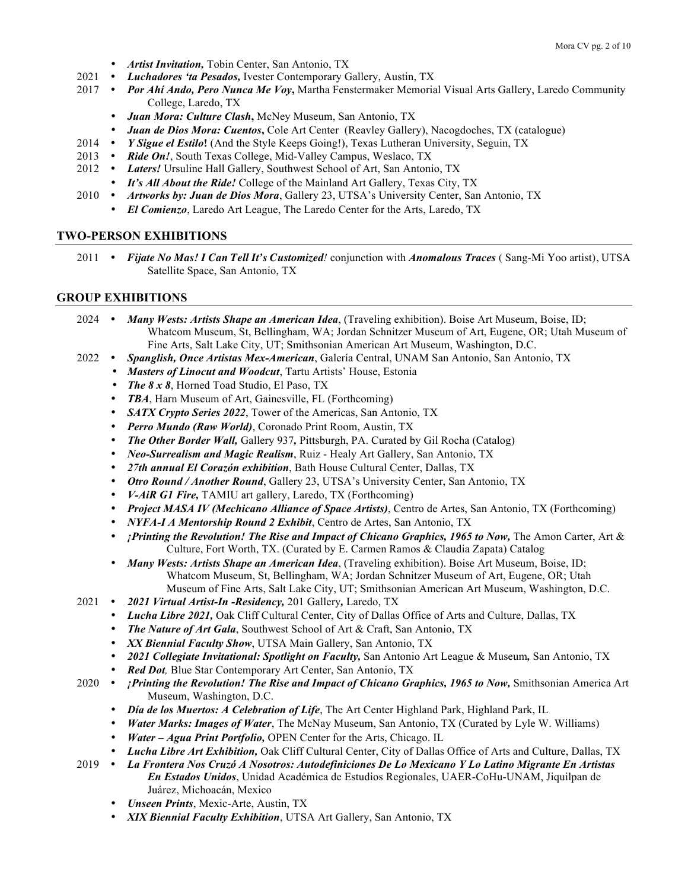- *Artist Invitation,* Tobin Center, San Antonio, TX
- 2021 *Luchadores 'ta Pesados,* Ivester Contemporary Gallery, Austin, TX
- 2017 Por Ahí Ando, Pero Nunca Me Voy, Martha Fenstermaker Memorial Visual Arts Gallery, Laredo Community College, Laredo, TX
	- *Juan Mora: Culture Clash***,** McNey Museum, San Antonio, TX
	- *Juan de Dios Mora: Cuentos*, Cole Art Center (Reavley Gallery), Nacogdoches, TX (catalogue)<br>• *Y Sigue el Estilo*! (And the Style Keeps Going!), Texas Lutheran University, Seguin, TX
- 2014 *Y Sigue el Estilo***!** (And the Style Keeps Going!), Texas Lutheran University, Seguin, TX
- 2013 Ride On!, South Texas College, Mid-Valley Campus, Weslaco, TX
- 2012 *Laters!* Ursuline Hall Gallery, Southwest School of Art, San Antonio, TX
	- *It's All About the Ride!* College of the Mainland Art Gallery, Texas City, TX
- 2010 *Artworks by: Juan de Dios Mora*, Gallery 23, UTSA's University Center, San Antonio, TX
	- *El Comienzo*, Laredo Art League, The Laredo Center for the Arts, Laredo, TX

## **TWO-PERSON EXHIBITIONS**

2011 *Fijate No Mas! I Can Tell It's Customized!* conjunction with *Anomalous Traces* ( Sang-Mi Yoo artist), UTSA Satellite Space, San Antonio, TX

## **GROUP EXHIBITIONS**

2024 *Many Wests: Artists Shape an American Idea*, (Traveling exhibition). Boise Art Museum, Boise, ID; Whatcom Museum, St, Bellingham, WA; Jordan Schnitzer Museum of Art, Eugene, OR; Utah Museum of Fine Arts, Salt Lake City, UT; Smithsonian American Art Museum, Washington, D.C.

- 2022 *Spanglish, Once Artistas Mex-American*, Galería Central, UNAM San Antonio, San Antonio, TX
	- *Masters of Linocut and Woodcut*, Tartu Artists' House, Estonia
	- *The 8 x 8*, Horned Toad Studio, El Paso, TX
	- *TBA*, Harn Museum of Art, Gainesville, FL (Forthcoming)
	- *SATX Crypto Series 2022*, Tower of the Americas, San Antonio, TX
	- *Perro Mundo (Raw World)*, Coronado Print Room, Austin, TX
	- *The Other Border Wall,* Gallery 937*,* Pittsburgh, PA. Curated by Gil Rocha (Catalog)
	- *Neo-Surrealism and Magic Realism*, Ruiz Healy Art Gallery, San Antonio, TX
	- *27th annual El Corazón exhibition*, Bath House Cultural Center, Dallas, TX
	- *Otro Round / Another Round*, Gallery 23, UTSA's University Center, San Antonio, TX
	- *V-AiR G1 Fire,* TAMIU art gallery, Laredo, TX (Forthcoming)
	- *Project MASA IV (Mechicano Alliance of Space Artists)*, Centro de Artes, San Antonio, TX (Forthcoming)
	- *NYFA-I A Mentorship Round 2 Exhibit*, Centro de Artes, San Antonio, TX
	- *<i>†***Printing the Revolution! The Rise and Impact of Chicano Graphics, 1965 to Now, The Amon Carter, Art &** Culture, Fort Worth, TX. (Curated by E. Carmen Ramos & Claudia Zapata) Catalog
	- *Many Wests: Artists Shape an American Idea*, (Traveling exhibition). Boise Art Museum, Boise, ID; Whatcom Museum, St, Bellingham, WA; Jordan Schnitzer Museum of Art, Eugene, OR; Utah Museum of Fine Arts, Salt Lake City, UT; Smithsonian American Art Museum, Washington, D.C.
- 2021 *2021 Virtual Artist-In -Residency,* 201 Gallery*,* Laredo, TX
	- *Lucha Libre 2021,* Oak Cliff Cultural Center, City of Dallas Office of Arts and Culture, Dallas, TX
	- *The Nature of Art Gala*, Southwest School of Art & Craft, San Antonio, TX
	- *XX Biennial Faculty Show*, UTSA Main Gallery, San Antonio, TX
	- *2021 Collegiate Invitational: Spotlight on Faculty,* San Antonio Art League & Museum*,* San Antonio, TX
	- *Red Dot,* Blue Star Contemporary Art Center, San Antonio, TX
- 2020 *¡Printing the Revolution! The Rise and Impact of Chicano Graphics, 1965 to Now,* Smithsonian America Art Museum, Washington, D.C.
	- *Día de los Muertos: A Celebration of Life*, The Art Center Highland Park, Highland Park, IL
	- *Water Marks: Images of Water*, The McNay Museum, San Antonio, TX (Curated by Lyle W. Williams)
	- *Water – Agua Print Portfolio,* OPEN Center for the Arts, Chicago. IL
	- *Lucha Libre Art Exhibition,* Oak Cliff Cultural Center, City of Dallas Office of Arts and Culture, Dallas, TX
- 2019 *La Frontera Nos Cruzó A Nosotros: Autodefiniciones De Lo Mexicano Y Lo Latino Migrante En Artistas En Estados Unidos*, Unidad Académica de Estudios Regionales, UAER-CoHu-UNAM, Jiquilpan de Juárez, Michoacán, Mexico
	- *Unseen Prints*, Mexic-Arte, Austin, TX
	- *XIX Biennial Faculty Exhibition*, UTSA Art Gallery, San Antonio, TX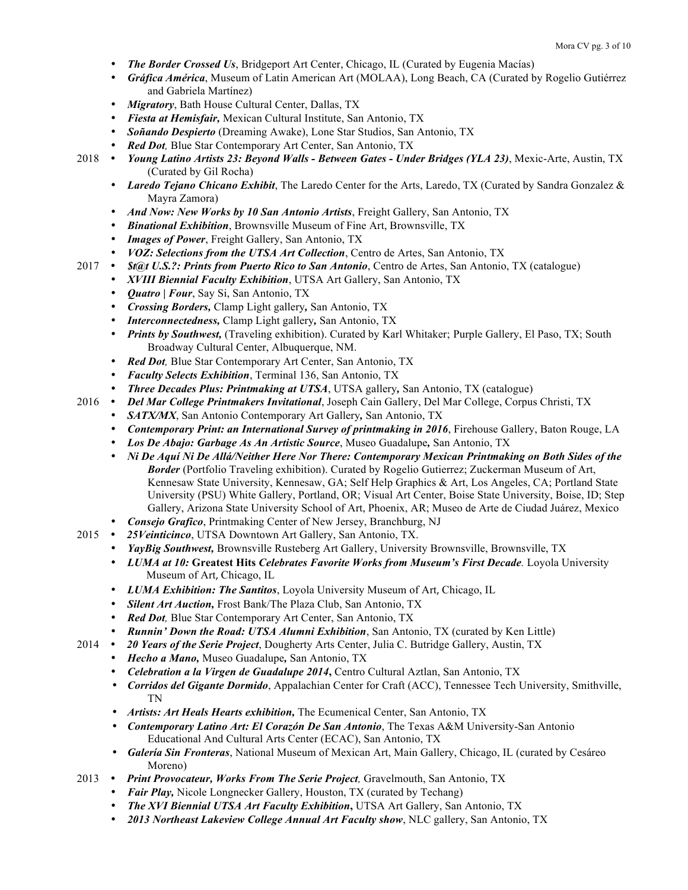- *The Border Crossed Us*, Bridgeport Art Center, Chicago, IL (Curated by Eugenia Macías)
- *Gráfica América*, Museum of Latin American Art (MOLAA), Long Beach, CA (Curated by Rogelio Gutiérrez and Gabriela Martínez)
- *Migratory*, Bath House Cultural Center, Dallas, TX
- *Fiesta at Hemisfair,* Mexican Cultural Institute, San Antonio, TX
- *Soñando Despierto* (Dreaming Awake), Lone Star Studios, San Antonio, TX
- *Red Dot,* Blue Star Contemporary Art Center, San Antonio, TX
- 2018 *Young Latino Artists 23: Beyond Walls - Between Gates - Under Bridges (YLA 23)*, Mexic-Arte, Austin, TX (Curated by Gil Rocha)
	- *Laredo Tejano Chicano Exhibit*, The Laredo Center for the Arts, Laredo, TX (Curated by Sandra Gonzalez & Mayra Zamora)
	- *And Now: New Works by 10 San Antonio Artists*, Freight Gallery, San Antonio, TX
	- *Binational Exhibition*, Brownsville Museum of Fine Art, Brownsville, TX
	- *Images of Power*, Freight Gallery, San Antonio, TX
- *VOZ: Selections from the UTSA Art Collection*, Centro de Artes, San Antonio, TX<br>2017 *St@t U.S.?: Prints from Puerto Rico to San Antonio*, Centro de Artes, San Antonio
	- 2017 *\$t@t U.S.?: Prints from Puerto Rico to San Antonio*, Centro de Artes, San Antonio, TX (catalogue)
		- *XVIII Biennial Faculty Exhibition*, UTSA Art Gallery, San Antonio, TX
		- *Quatro | Four*, Say Si, San Antonio, TX
		- *Crossing Borders,* Clamp Light gallery*,* San Antonio, TX
		- *Interconnectedness,* Clamp Light gallery*,* San Antonio, TX
		- *Prints by Southwest,* (Traveling exhibition). Curated by Karl Whitaker; Purple Gallery, El Paso, TX; South Broadway Cultural Center, Albuquerque, NM.
		- *Red Dot,* Blue Star Contemporary Art Center, San Antonio, TX
		- *Faculty Selects Exhibition*, Terminal 136, San Antonio, TX
		- *Three Decades Plus: Printmaking at UTSA*, UTSA gallery*,* San Antonio, TX (catalogue)
- 2016 *Del Mar College Printmakers Invitational*, Joseph Cain Gallery, Del Mar College, Corpus Christi, TX
	- *SATX/MX*, San Antonio Contemporary Art Gallery*,* San Antonio, TX
	- *Contemporary Print: an International Survey of printmaking in 2016*, Firehouse Gallery, Baton Rouge, LA
	- *Los De Abajo: Garbage As An Artistic Source*, Museo Guadalupe*,* San Antonio, TX
	- *Ni De Aquí Ni De Allá/Neither Here Nor There: Contemporary Mexican Printmaking on Both Sides of the Border* (Portfolio Traveling exhibition). Curated by Rogelio Gutierrez; Zuckerman Museum of Art, Kennesaw State University, Kennesaw, GA; Self Help Graphics & Art, Los Angeles, CA; Portland State University (PSU) White Gallery, Portland, OR; Visual Art Center, Boise State University, Boise, ID; Step Gallery, Arizona State University School of Art, Phoenix, AR; Museo de Arte de Ciudad Juárez, Mexico
	- *Consejo Grafico*, Printmaking Center of New Jersey, Branchburg, NJ
- 2015 *25Veinticinco*, UTSA Downtown Art Gallery, San Antonio, TX.
	- *YayBig Southwest*, Brownsville Rusteberg Art Gallery, University Brownsville, Brownsville, TX
	- *LUMA at 10:* **Greatest Hits** *Celebrates Favorite Works from Museum's First Decade.* Loyola University Museum of Art, Chicago, IL
	- *LUMA Exhibition: The Santitos*, Loyola University Museum of Art, Chicago, IL
	- *Silent Art Auction,* Frost Bank/The Plaza Club, San Antonio, TX
	- *Red Dot,* Blue Star Contemporary Art Center, San Antonio, TX
	- *Runnin' Down the Road: UTSA Alumni Exhibition*, San Antonio, TX (curated by Ken Little)
- 2014 *20 Years of the Serie Project*, Dougherty Arts Center, Julia C. Butridge Gallery, Austin, TX
	- *Hecho a Mano,* Museo Guadalupe*,* San Antonio, TX
	- *Celebration a la Virgen de Guadalupe 2014*, Centro Cultural Aztlan, San Antonio, TX
	- *Corridos del Gigante Dormido*, Appalachian Center for Craft (ACC), Tennessee Tech University, Smithville, TN
	- *Artists: Art Heals Hearts exhibition,* The Ecumenical Center, San Antonio, TX
	- *Contemporary Latino Art: El Corazón De San Antonio*, The Texas A&M University-San Antonio Educational And Cultural Arts Center (ECAC), San Antonio, TX
	- *Galería Sin Fronteras*, National Museum of Mexican Art, Main Gallery, Chicago, IL (curated by Cesáreo Moreno)
- 2013 *Print Provocateur, Works From The Serie Project,* Gravelmouth, San Antonio, TX
	- *Fair Play,* Nicole Longnecker Gallery, Houston, TX (curated by Techang)
	- *The XVI Biennial UTSA Art Faculty Exhibition***,** UTSA Art Gallery, San Antonio, TX
	- *2013 Northeast Lakeview College Annual Art Faculty show*, NLC gallery, San Antonio, TX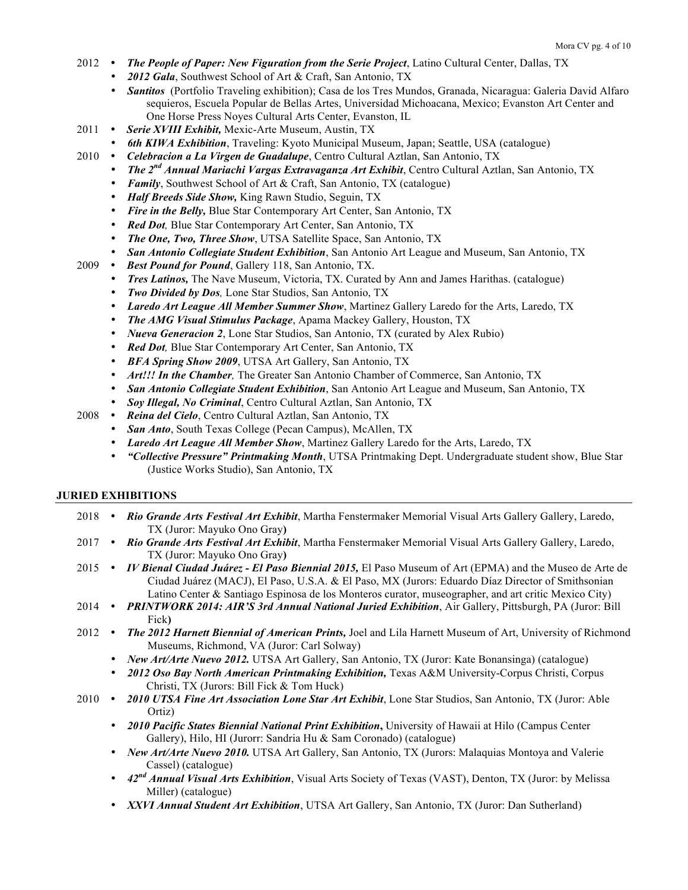- 2012 *The People of Paper: New Figuration from the Serie Project*, Latino Cultural Center, Dallas, TX
	- *2012 Gala*, Southwest School of Art & Craft, San Antonio, TX
	- *Santitos* (Portfolio Traveling exhibition); Casa de los Tres Mundos, Granada, Nicaragua: Galeria David Alfaro sequieros, Escuela Popular de Bellas Artes, Universidad Michoacana, Mexico; Evanston Art Center and One Horse Press Noyes Cultural Arts Center, Evanston, IL
- 2011 Serie XVIII Exhibit, Mexic-Arte Museum, Austin, TX
- *6th KIWA Exhibition*, Traveling: Kyoto Municipal Museum, Japan; Seattle, USA (catalogue) <br>2010 *Celebracion a La Virgen de Guadalupe*, Centro Cultural Aztlan, San Antonio, TX
	- *Celebracion a La Virgen de Guadalupe*, Centro Cultural Aztlan, San Antonio, TX
		- *The 2nd Annual Mariachi Vargas Extravaganza Art Exhibit*, Centro Cultural Aztlan, San Antonio, TX
		- *Family*, Southwest School of Art & Craft, San Antonio, TX (catalogue)
		- *Half Breeds Side Show,* King Rawn Studio, Seguin, TX
		- *Fire in the Belly,* Blue Star Contemporary Art Center, San Antonio, TX
		- *Red Dot,* Blue Star Contemporary Art Center, San Antonio, TX
		- *The One, Two, Three Show*, UTSA Satellite Space, San Antonio, TX
		- *San Antonio Collegiate Student Exhibition*, San Antonio Art League and Museum, San Antonio, TX
- 2009 *Best Pound for Pound*, Gallery 118, San Antonio, TX.
	- *Tres Latinos,* The Nave Museum, Victoria, TX. Curated by Ann and James Harithas. (catalogue)
	- *Two Divided by Dos,* Lone Star Studios, San Antonio, TX
	- *Laredo Art League All Member Summer Show*, Martinez Gallery Laredo for the Arts, Laredo, TX
	- *The AMG Visual Stimulus Package*, Apama Mackey Gallery, Houston, TX
	- *Nueva Generacion 2*, Lone Star Studios, San Antonio, TX (curated by Alex Rubio)
	- *Red Dot,* Blue Star Contemporary Art Center, San Antonio, TX
	- *BFA Spring Show 2009*, UTSA Art Gallery, San Antonio, TX
	- *Art!!! In the Chamber,* The Greater San Antonio Chamber of Commerce, San Antonio, TX
	- *San Antonio Collegiate Student Exhibition*, San Antonio Art League and Museum, San Antonio, TX
- *Soy Illegal, No Criminal*, Centro Cultural Aztlan, San Antonio, TX 2008 *Reina del Cielo*, Centro Cultural Aztlan, San Antonio, TX
	- 2008 *Reina del Cielo*, Centro Cultural Aztlan, San Antonio, TX
		- *San Anto*, South Texas College (Pecan Campus), McAllen, TX
		- *Laredo Art League All Member Show*, Martinez Gallery Laredo for the Arts, Laredo, TX
		- *"Collective Pressure" Printmaking Month*, UTSA Printmaking Dept. Undergraduate student show, Blue Star (Justice Works Studio), San Antonio, TX

#### **JURIED EXHIBITIONS**

- 2018 *Rio Grande Arts Festival Art Exhibit*, Martha Fenstermaker Memorial Visual Arts Gallery Gallery, Laredo, TX (Juror: Mayuko Ono Gray**)** 2017 *Rio Grande Arts Festival Art Exhibit*, Martha Fenstermaker Memorial Visual Arts Gallery Gallery, Laredo, TX (Juror: Mayuko Ono Gray**)** 2015 *IV Bienal Ciudad Juárez - El Paso Biennial 2015,* El Paso Museum of Art (EPMA) and the Museo de Arte de Ciudad Juárez (MACJ), El Paso, U.S.A. & El Paso, MX (Jurors: Eduardo Díaz Director of Smithsonian Latino Center & Santiago Espinosa de los Monteros curator, museographer, and art critic Mexico City) 2014 *PRINTWORK 2014: AIR'S 3rd Annual National Juried Exhibition*, Air Gallery, Pittsburgh, PA (Juror: Bill Fick**)** 2012 *The 2012 Harnett Biennial of American Prints,* Joel and Lila Harnett Museum of Art, University of Richmond Museums, Richmond, VA (Juror: Carl Solway)
	- *New Art/Arte Nuevo 2012.* UTSA Art Gallery, San Antonio, TX (Juror: Kate Bonansinga) (catalogue)
	- *2012 Oso Bay North American Printmaking Exhibition,* Texas A&M University-Corpus Christi, Corpus Christi, TX (Jurors: Bill Fick & Tom Huck)
- 2010 *2010 UTSA Fine Art Association Lone Star Art Exhibit*, Lone Star Studios, San Antonio, TX (Juror: Able Ortiz)
	- *2010 Pacific States Biennial National Print Exhibition***,** University of Hawaii at Hilo (Campus Center Gallery), Hilo, HI (Jurorr: Sandria Hu & Sam Coronado) (catalogue)
	- *New Art/Arte Nuevo 2010.* UTSA Art Gallery, San Antonio, TX (Jurors: Malaquias Montoya and Valerie Cassel) (catalogue)
	- *42nd Annual Visual Arts Exhibition*, Visual Arts Society of Texas (VAST), Denton, TX (Juror: by Melissa Miller) (catalogue)
	- *XXVI Annual Student Art Exhibition*, UTSA Art Gallery, San Antonio, TX (Juror: Dan Sutherland)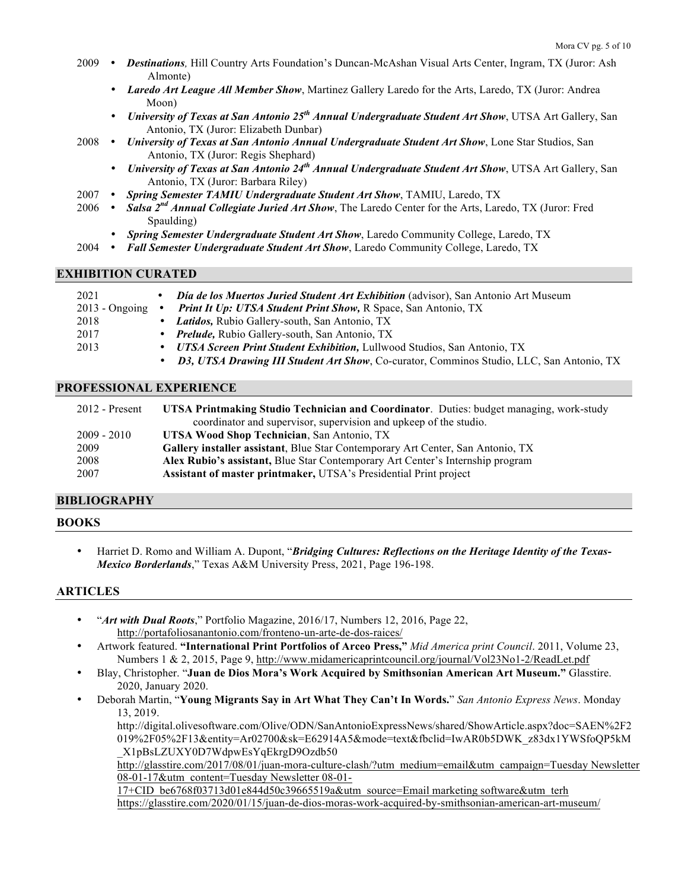- 2009 *Destinations,* Hill Country Arts Foundation's Duncan-McAshan Visual Arts Center, Ingram, TX (Juror: Ash Almonte)
	- *Laredo Art League All Member Show*, Martinez Gallery Laredo for the Arts, Laredo, TX (Juror: Andrea Moon)
	- *University of Texas at San Antonio 25th Annual Undergraduate Student Art Show*, UTSA Art Gallery, San Antonio, TX (Juror: Elizabeth Dunbar)
- 2008 *University of Texas at San Antonio Annual Undergraduate Student Art Show*, Lone Star Studios, San Antonio, TX (Juror: Regis Shephard)
	- *University of Texas at San Antonio 24th Annual Undergraduate Student Art Show*, UTSA Art Gallery, San Antonio, TX (Juror: Barbara Riley)
- 2007 *Spring Semester TAMIU Undergraduate Student Art Show*, TAMIU, Laredo, TX
- 2006 *Salsa 2nd Annual Collegiate Juried Art Show*, The Laredo Center for the Arts, Laredo, TX (Juror: Fred Spaulding)
	- *Spring Semester Undergraduate Student Art Show*, Laredo Community College, Laredo, TX
- 2004 *Fall Semester Undergraduate Student Art Show*, Laredo Community College, Laredo, TX

## **EXHIBITION CURATED**

| ٠                             | <b>Día de los Muertos Juried Student Art Exhibition</b> (advisor), San Antonio Art Museum       |
|-------------------------------|-------------------------------------------------------------------------------------------------|
| $2013$ - Ongoing<br>$\bullet$ | <b>Print It Up: UTSA Student Print Show, R Space, San Antonio, TX</b>                           |
|                               | • Latidos, Rubio Gallery-south, San Antonio, TX                                                 |
|                               | • <i>Prelude</i> , Rubio Gallery-south, San Antonio, TX                                         |
| $\bullet$                     | <b>UTSA Screen Print Student Exhibition, Lullwood Studios, San Antonio, TX</b>                  |
| $\bullet$                     | <b>D3, UTSA Drawing III Student Art Show, Co-curator, Comminos Studio, LLC, San Antonio, TX</b> |
|                               |                                                                                                 |

## **PROFESSIONAL EXPERIENCE**

| $2012$ - Present | <b>UTSA Printmaking Studio Technician and Coordinator.</b> Duties: budget managing, work-study |
|------------------|------------------------------------------------------------------------------------------------|
|                  | coordinator and supervisor, supervision and upkeep of the studio.                              |
| 2009 - 2010      | UTSA Wood Shop Technician, San Antonio, TX                                                     |
| 2009             | <b>Gallery installer assistant</b> , Blue Star Contemporary Art Center, San Antonio, TX        |
| 2008             | Alex Rubio's assistant, Blue Star Contemporary Art Center's Internship program                 |
| 2007             | <b>Assistant of master printmaker, UTSA's Presidential Print project</b>                       |

## **BIBLIOGRAPHY**

## **BOOKS**

• Harriet D. Romo and William A. Dupont, "*Bridging Cultures: Reflections on the Heritage Identity of the Texas-Mexico Borderlands*," Texas A&M University Press, 2021, Page 196-198.

## **ARTICLES**

- "*Art with Dual Roots*," Portfolio Magazine, 2016/17, Numbers 12, 2016, Page 22, http://portafoliosanantonio.com/fronteno-un-arte-de-dos-raices/
- Artwork featured. **"International Print Portfolios of Arceo Press,"** *Mid America print Council*. 2011, Volume 23, Numbers 1 & 2, 2015, Page 9, http://www.midamericaprintcouncil.org/journal/Vol23No1-2/ReadLet.pdf
- Blay, Christopher. "**Juan de Dios Mora's Work Acquired by Smithsonian American Art Museum."** Glasstire. 2020, January 2020.
	- Deborah Martin, "**Young Migrants Say in Art What They Can't In Words.**" *San Antonio Express News*. Monday 13, 2019.

http://digital.olivesoftware.com/Olive/ODN/SanAntonioExpressNews/shared/ShowArticle.aspx?doc=SAEN%2F2 019%2F05%2F13&entity=Ar02700&sk=E62914A5&mode=text&fbclid=IwAR0b5DWK\_z83dx1YWSfoQP5kM \_X1pBsLZUXY0D7WdpwEsYqEkrgD9Ozdb50

http://glasstire.com/2017/08/01/juan-mora-culture-clash/?utm\_medium=email&utm\_campaign=Tuesday Newsletter 08-01-17&utm\_content=Tuesday Newsletter 08-01-

17+CID\_be6768f03713d01e844d50c39665519a&utm\_source=Email marketing software&utm\_terh https://glasstire.com/2020/01/15/juan-de-dios-moras-work-acquired-by-smithsonian-american-art-museum/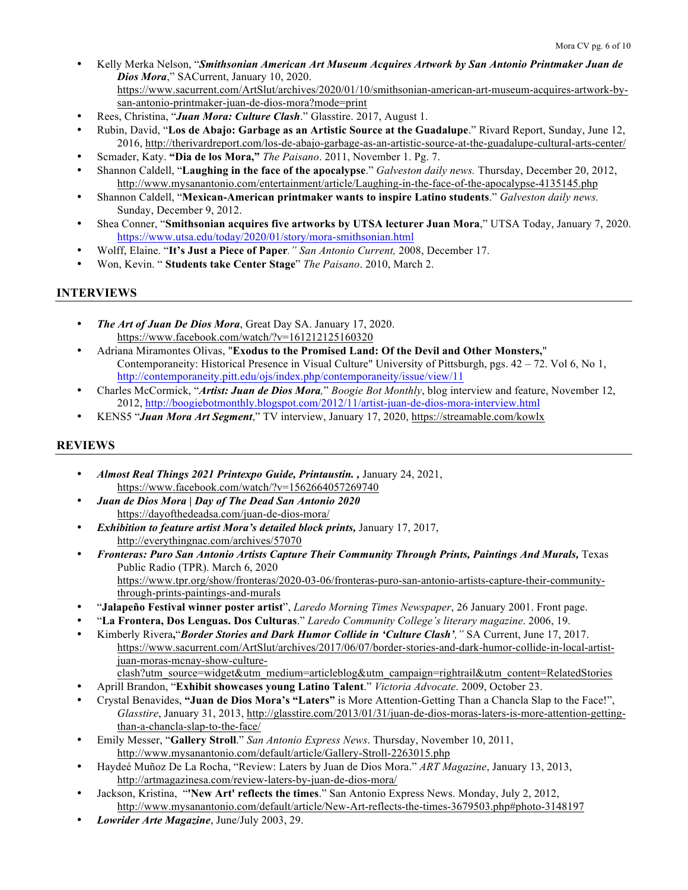- Kelly Merka Nelson, "*Smithsonian American Art Museum Acquires Artwork by San Antonio Printmaker Juan de Dios Mora*," SACurrent, January 10, 2020. https://www.sacurrent.com/ArtSlut/archives/2020/01/10/smithsonian-american-art-museum-acquires-artwork-bysan-antonio-printmaker-juan-de-dios-mora?mode=print
- Rees, Christina, "*Juan Mora: Culture Clash*." Glasstire. 2017, August 1.
- Rubin, David, "**Los de Abajo: Garbage as an Artistic Source at the Guadalupe**." Rivard Report, Sunday, June 12, 2016, http://therivardreport.com/los-de-abajo-garbage-as-an-artistic-source-at-the-guadalupe-cultural-arts-center/
- Scmader, Katy. **"Dia de los Mora,"** *The Paisano*. 2011, November 1. Pg. 7.
- Shannon Caldell, "**Laughing in the face of the apocalypse**." *Galveston daily news.* Thursday, December 20, 2012, http://www.mysanantonio.com/entertainment/article/Laughing-in-the-face-of-the-apocalypse-4135145.php
- Shannon Caldell, "**Mexican-American printmaker wants to inspire Latino students**." *Galveston daily news.* Sunday, December 9, 2012.
- Shea Conner, "**Smithsonian acquires five artworks by UTSA lecturer Juan Mora**," UTSA Today, January 7, 2020. https://www.utsa.edu/today/2020/01/story/mora-smithsonian.html
- Wolff, Elaine. "**It's Just a Piece of Paper***." San Antonio Current,* 2008, December 17.
- Won, Kevin. " **Students take Center Stage**" *The Paisano*. 2010, March 2.

# **INTERVIEWS**

- *The Art of Juan De Dios Mora*, Great Day SA. January 17, 2020. https://www.facebook.com/watch/?v=161212125160320
- Adriana Miramontes Olivas, "**Exodus to the Promised Land: Of the Devil and Other Monsters,**" Contemporaneity: Historical Presence in Visual Culture" University of Pittsburgh, pgs. 42 – 72. Vol 6, No 1, http://contemporaneity.pitt.edu/ojs/index.php/contemporaneity/issue/view/11
- Charles McCormick, "*Artist: Juan de Dios Mora,*" *Boogie Bot Monthly*, blog interview and feature, November 12, 2012, http://boogiebotmonthly.blogspot.com/2012/11/artist-juan-de-dios-mora-interview.html
- KENS5 "*Juan Mora Art Segment*," TV interview, January 17, 2020, https://streamable.com/kowlx

# **REVIEWS**

- *Almost Real Things 2021 Printexpo Guide, Printaustin. ,* January 24, 2021, https://www.facebook.com/watch/?v=1562664057269740
- *Juan de Dios Mora | Day of The Dead San Antonio 2020* https://dayofthedeadsa.com/juan-de-dios-mora/
- *Exhibition to feature artist Mora's detailed block prints,* January 17, 2017, http://everythingnac.com/archives/57070
- *Fronteras: Puro San Antonio Artists Capture Their Community Through Prints, Paintings And Murals,* Texas Public Radio (TPR). March 6, 2020 https://www.tpr.org/show/fronteras/2020-03-06/fronteras-puro-san-antonio-artists-capture-their-communitythrough-prints-paintings-and-murals
- "**Jalapeño Festival winner poster artist**", *Laredo Morning Times Newspaper*, 26 January 2001. Front page.
- "**La Frontera, Dos Lenguas. Dos Culturas**." *Laredo Community College's literary magazine*. 2006, 19.
- Kimberly Rivera**,**"*Border Stories and Dark Humor Collide in 'Culture Clash',"* SA Current, June 17, 2017. https://www.sacurrent.com/ArtSlut/archives/2017/06/07/border-stories-and-dark-humor-collide-in-local-artistjuan-moras-mcnay-show-culture
	- clash?utm\_source=widget&utm\_medium=articleblog&utm\_campaign=rightrail&utm\_content=RelatedStories
- Aprill Brandon, "**Exhibit showcases young Latino Talent**." *Victoria Advocate*. 2009, October 23.
- Crystal Benavides, **"Juan de Dios Mora's "Laters"** is More Attention-Getting Than a Chancla Slap to the Face!", *Glasstire*, January 31, 2013, http://glasstire.com/2013/01/31/juan-de-dios-moras-laters-is-more-attention-gettingthan-a-chancla-slap-to-the-face/
- Emily Messer, "**Gallery Stroll**." *San Antonio Express News*. Thursday, November 10, 2011, http://www.mysanantonio.com/default/article/Gallery-Stroll-2263015.php
- Haydeé Muñoz De La Rocha, "Review: Laters by Juan de Dios Mora." *ART Magazine*, January 13, 2013, http://artmagazinesa.com/review-laters-by-juan-de-dios-mora/
- Jackson, Kristina, "**'New Art' reflects the times**." San Antonio Express News. Monday, July 2, 2012, http://www.mysanantonio.com/default/article/New-Art-reflects-the-times-3679503.php#photo-3148197
- *Lowrider Arte Magazine*, June/July 2003, 29.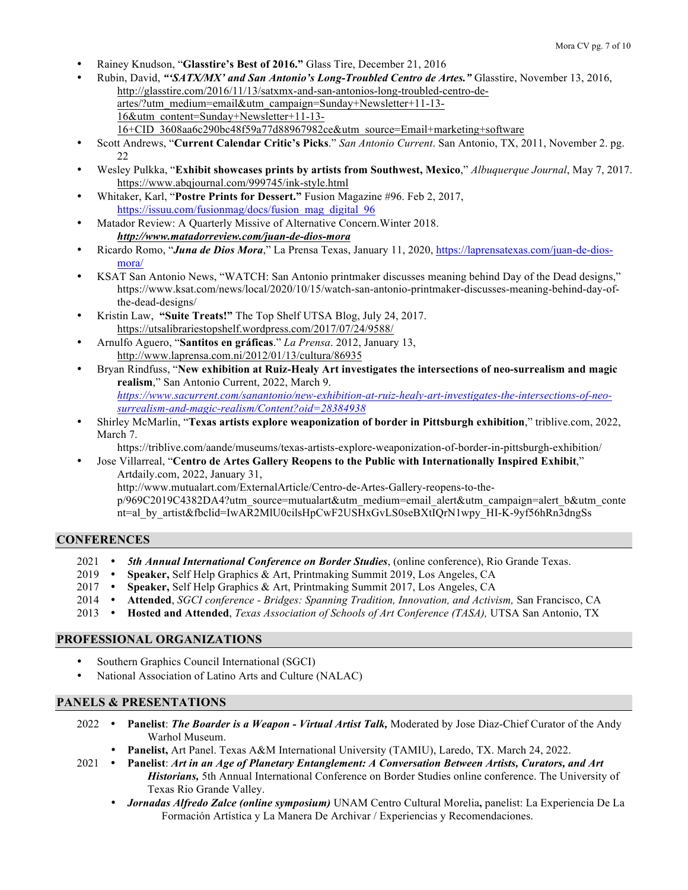- Rainey Knudson, "**Glasstire's Best of 2016."** Glass Tire, December 21, 2016
- Rubin, David, *"'SATX/MX' and San Antonio's Long-Troubled Centro de Artes."* Glasstire, November 13, 2016, http://glasstire.com/2016/11/13/satxmx-and-san-antonios-long-troubled-centro-deartes/?utm\_medium=email&utm\_campaign=Sunday+Newsletter+11-13- 16&utm\_content=Sunday+Newsletter+11-13- 16+CID\_3608aa6c290bc48f59a77d88967982ce&utm\_source=Email+marketing+software
- Scott Andrews, "**Current Calendar Critic's Picks**." *San Antonio Current*. San Antonio, TX, 2011, November 2. pg. 22
- Wesley Pulkka, "**Exhibit showcases prints by artists from Southwest, Mexico**," *Albuquerque Journal*, May 7, 2017. https://www.abqjournal.com/999745/ink-style.html
- Whitaker, Karl, "**Postre Prints for Dessert."** Fusion Magazine #96. Feb 2, 2017, https://issuu.com/fusionmag/docs/fusion\_mag\_digital\_96
- Matador Review: A Quarterly Missive of Alternative Concern.Winter 2018. *http://www.matadorreview.com/juan-de-dios-mora*
- Ricardo Romo, "*Juna de Dios Mora*," La Prensa Texas, January 11, 2020, https://laprensatexas.com/juan-de-diosmora/
- KSAT San Antonio News, "WATCH: San Antonio printmaker discusses meaning behind Day of the Dead designs," https://www.ksat.com/news/local/2020/10/15/watch-san-antonio-printmaker-discusses-meaning-behind-day-ofthe-dead-designs/
- Kristin Law, **"Suite Treats!"** The Top Shelf UTSA Blog, July 24, 2017. https://utsalibrariestopshelf.wordpress.com/2017/07/24/9588/
- Arnulfo Aguero, "**Santitos en gráficas**." *La Prensa*. 2012, January 13, http://www.laprensa.com.ni/2012/01/13/cultura/86935
- Bryan Rindfuss, "**New exhibition at Ruiz-Healy Art investigates the intersections of neo-surrealism and magic realism**," San Antonio Current, 2022, March 9. *https://www.sacurrent.com/sanantonio/new-exhibition-at-ruiz-healy-art-investigates-the-intersections-of-neosurrealism-and-magic-realism/Content?oid=28384938*
- Shirley McMarlin, "**Texas artists explore weaponization of border in Pittsburgh exhibition**," triblive.com, 2022, March 7.

https://triblive.com/aande/museums/texas-artists-explore-weaponization-of-border-in-pittsburgh-exhibition/

• Jose Villarreal, "**Centro de Artes Gallery Reopens to the Public with Internationally Inspired Exhibit**," Artdaily.com, 2022, January 31, http://www.mutualart.com/ExternalArticle/Centro-de-Artes-Gallery-reopens-to-thep/969C2019C4382DA4?utm\_source=mutualart&utm\_medium=email\_alert&utm\_campaign=alert\_b&utm\_conte

nt=al\_by\_artist&fbclid=IwAR2MlU0cilsHpCwF2USHxGvLS0seBXtIQrN1wpy\_HI-K-9yf56hRn3dngSs

## **CONFERENCES**

- 2021 *5th Annual International Conference on Border Studies*, (online conference), Rio Grande Texas.
- 2019 **Speaker,** Self Help Graphics & Art, Printmaking Summit 2019, Los Angeles, CA
- 2017 **Speaker,** Self Help Graphics & Art, Printmaking Summit 2017, Los Angeles, CA
- 2014 **Attended**, *SGCI conference - Bridges: Spanning Tradition, Innovation, and Activism,* San Francisco, CA
- 2013 **Hosted and Attended**, *Texas Association of Schools of Art Conference (TASA),* UTSA San Antonio, TX

## **PROFESSIONAL ORGANIZATIONS**

- Southern Graphics Council International (SGCI)
- National Association of Latino Arts and Culture (NALAC)

## **PANELS & PRESENTATIONS**

- 2022 **Panelist**: *The Boarder is a Weapon - Virtual Artist Talk,* Moderated by Jose Diaz-Chief Curator of the Andy Warhol Museum.
	- **Panelist,** Art Panel. Texas A&M International University (TAMIU), Laredo, TX. March 24, 2022.
- 2021 **Panelist**: *Art in an Age of Planetary Entanglement: A Conversation Between Artists, Curators, and Art Historians,* 5th Annual International Conference on Border Studies online conference. The University of Texas Rio Grande Valley.
	- *Jornadas Alfredo Zalce (online symposium)* UNAM Centro Cultural Morelia**,** panelist: La Experiencia De La Formación Artística y La Manera De Archivar / Experiencias y Recomendaciones.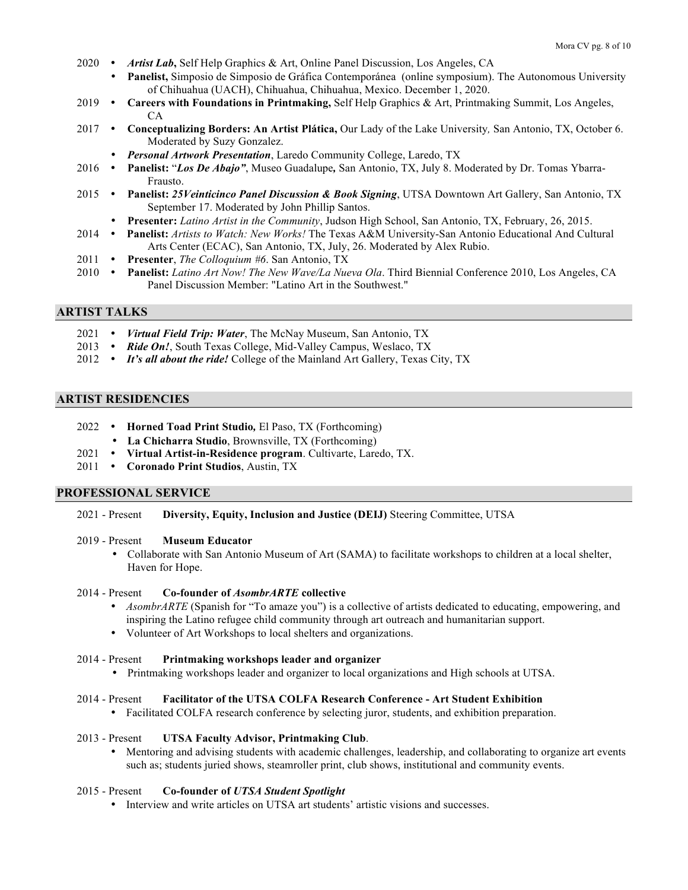- 2020 *Artist Lab***,** Self Help Graphics & Art, Online Panel Discussion, Los Angeles, CA
	- **Panelist,** Simposio de Simposio de Gráfica Contemporánea (online symposium). The Autonomous University of Chihuahua (UACH), Chihuahua, Chihuahua, Mexico. December 1, 2020.
- 2019 **Careers with Foundations in Printmaking,** Self Help Graphics & Art, Printmaking Summit, Los Angeles, CA
- 2017 **Conceptualizing Borders: An Artist Plática,** Our Lady of the Lake University*,* San Antonio, TX, October 6. Moderated by Suzy Gonzalez.
	- *Personal Artwork Presentation*, Laredo Community College, Laredo, TX
- 2016 **Panelist:** "*Los De Abajo"*, Museo Guadalupe*,* San Antonio, TX, July 8. Moderated by Dr. Tomas Ybarra-Frausto.
- 2015 **Panelist:** *25Veinticinco Panel Discussion & Book Signing*, UTSA Downtown Art Gallery, San Antonio, TX September 17. Moderated by John Phillip Santos.
	- **Presenter:** *Latino Artist in the Community*, Judson High School, San Antonio, TX, February, 26, 2015.
- 2014 **Panelist:** *Artists to Watch: New Works!* The Texas A&M University-San Antonio Educational And Cultural Arts Center (ECAC), San Antonio, TX, July, 26. Moderated by Alex Rubio.
- 2011 **Presenter**, *The Colloquium #6*. San Antonio, TX
- 2010 **Panelist:** *Latino Art Now! The New Wave/La Nueva Ola*. Third Biennial Conference 2010, Los Angeles, CA Panel Discussion Member: "Latino Art in the Southwest."

## **ARTIST TALKS**

- 2021 *Virtual Field Trip: Water*, The McNay Museum, San Antonio, TX
- 2013 Ride On!, South Texas College, Mid-Valley Campus, Weslaco, TX
- 2012 *It's all about the ride!* College of the Mainland Art Gallery, Texas City, TX

#### **ARTIST RESIDENCIES**

- 2022 **Horned Toad Print Studio***,* El Paso, TX (Forthcoming)
- **La Chicharra Studio**, Brownsville, TX (Forthcoming)
- 2021 **Virtual Artist-in-Residence program**. Cultivarte, Laredo, TX.
- 2011 **Coronado Print Studios**, Austin, TX

#### **PROFESSIONAL SERVICE**

2021 - Present **Diversity, Equity, Inclusion and Justice (DEIJ)** Steering Committee, UTSA

#### 2019 - Present **Museum Educator**

• Collaborate with San Antonio Museum of Art (SAMA) to facilitate workshops to children at a local shelter, Haven for Hope.

#### 2014 - Present **Co-founder of** *AsombrARTE* **collective**

- *AsombrARTE* (Spanish for "To amaze you") is a collective of artists dedicated to educating, empowering, and inspiring the Latino refugee child community through art outreach and humanitarian support.
- Volunteer of Art Workshops to local shelters and organizations.

#### 2014 - Present **Printmaking workshops leader and organizer**

• Printmaking workshops leader and organizer to local organizations and High schools at UTSA.

#### 2014 - Present **Facilitator of the UTSA COLFA Research Conference - Art Student Exhibition**

• Facilitated COLFA research conference by selecting juror, students, and exhibition preparation.

#### 2013 - Present **UTSA Faculty Advisor, Printmaking Club**.

• Mentoring and advising students with academic challenges, leadership, and collaborating to organize art events such as; students juried shows, steamroller print, club shows, institutional and community events.

#### 2015 - Present **Co-founder of** *UTSA Student Spotlight*

Interview and write articles on UTSA art students' artistic visions and successes.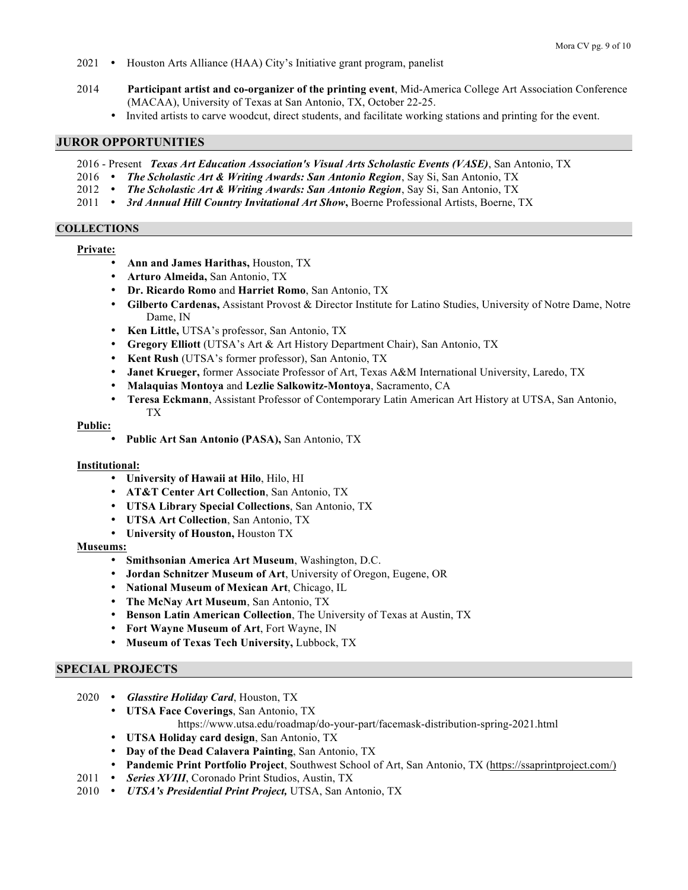- 2021 Houston Arts Alliance (HAA) City's Initiative grant program, panelist
- 2014 **Participant artist and co-organizer of the printing event**, Mid-America College Art Association Conference (MACAA), University of Texas at San Antonio, TX, October 22-25.
	- Invited artists to carve woodcut, direct students, and facilitate working stations and printing for the event.

## **JUROR OPPORTUNITIES**

- 2016 Present *Texas Art Education Association's Visual Arts Scholastic Events (VASE)*, San Antonio, TX
- 2016 *The Scholastic Art & Writing Awards: San Antonio Region*, Say Si, San Antonio, TX
- 2012 *The Scholastic Art & Writing Awards: San Antonio Region*, Say Si, San Antonio, TX
- 2011 3rd Annual Hill Country Invitational Art Show, Boerne Professional Artists, Boerne, TX

#### **COLLECTIONS**

## **Private:**

- **Ann and James Harithas,** Houston, TX
- **Arturo Almeida,** San Antonio, TX
- **Dr. Ricardo Romo** and **Harriet Romo**, San Antonio, TX
- **Gilberto Cardenas,** Assistant Provost & Director Institute for Latino Studies, University of Notre Dame, Notre Dame, IN
- **Ken Little,** UTSA's professor, San Antonio, TX
- **Gregory Elliott** (UTSA's Art & Art History Department Chair), San Antonio, TX
- **Kent Rush** (UTSA's former professor), San Antonio, TX
- **Janet Krueger,** former Associate Professor of Art, Texas A&M International University, Laredo, TX
- **Malaquias Montoya** and **Lezlie Salkowitz-Montoya**, Sacramento, CA
- **Teresa Eckmann**, Assistant Professor of Contemporary Latin American Art History at UTSA, San Antonio, TX

#### **Public:**

• **Public Art San Antonio (PASA),** San Antonio, TX

#### **Institutional:**

- **University of Hawaii at Hilo**, Hilo, HI
- **AT&T Center Art Collection**, San Antonio, TX
- **UTSA Library Special Collections**, San Antonio, TX
- **UTSA Art Collection**, San Antonio, TX
- **University of Houston,** Houston TX

#### **Museums:**

- **Smithsonian America Art Museum**, Washington, D.C.
- **Jordan Schnitzer Museum of Art**, University of Oregon, Eugene, OR
- **National Museum of Mexican Art**, Chicago, IL
- **The McNay Art Museum**, San Antonio, TX
- **Benson Latin American Collection**, The University of Texas at Austin, TX
- **Fort Wayne Museum of Art**, Fort Wayne, IN
- **Museum of Texas Tech University,** Lubbock, TX

#### **SPECIAL PROJECTS**

- 2020 *Glasstire Holiday Card*, Houston, TX
	- **UTSA Face Coverings**, San Antonio, TX https://www.utsa.edu/roadmap/do-your-part/facemask-distribution-spring-2021.html
	- **UTSA Holiday card design**, San Antonio, TX
	- **Day of the Dead Calavera Painting**, San Antonio, TX
	- **Pandemic Print Portfolio Project**, Southwest School of Art, San Antonio, TX (https://ssaprintproject.com/)
- 2011 *Series XVIII*, Coronado Print Studios, Austin, TX
- 2010 *UTSA's Presidential Print Project,* UTSA, San Antonio, TX